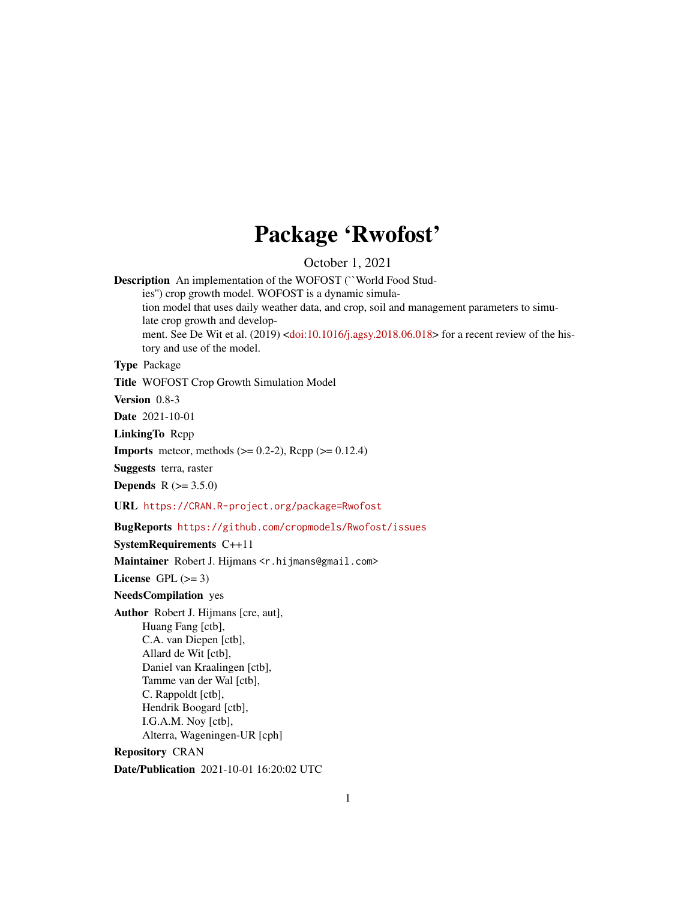## Package 'Rwofost'

October 1, 2021

<span id="page-0-0"></span>Description An implementation of the WOFOST (``World Food Stud-

ies'') crop growth model. WOFOST is a dynamic simulation model that uses daily weather data, and crop, soil and management parameters to simulate crop growth and develop-ment. See De Wit et al. (2019) [<doi:10.1016/j.agsy.2018.06.018>](https://doi.org/10.1016/j.agsy.2018.06.018) for a recent review of the history and use of the model.

#### Type Package

Title WOFOST Crop Growth Simulation Model

Version 0.8-3

Date 2021-10-01

LinkingTo Rcpp

**Imports** meteor, methods  $(>= 0.2-2)$ , Rcpp  $(>= 0.12.4)$ 

Suggests terra, raster

**Depends**  $R (= 3.5.0)$ 

URL <https://CRAN.R-project.org/package=Rwofost>

BugReports <https://github.com/cropmodels/Rwofost/issues>

SystemRequirements C++11

Maintainer Robert J. Hijmans <r.hijmans@gmail.com>

License GPL  $(>= 3)$ 

NeedsCompilation yes

Author Robert J. Hijmans [cre, aut], Huang Fang [ctb], C.A. van Diepen [ctb], Allard de Wit [ctb], Daniel van Kraalingen [ctb], Tamme van der Wal [ctb], C. Rappoldt [ctb], Hendrik Boogard [ctb], I.G.A.M. Noy [ctb], Alterra, Wageningen-UR [cph] Repository CRAN

Date/Publication 2021-10-01 16:20:02 UTC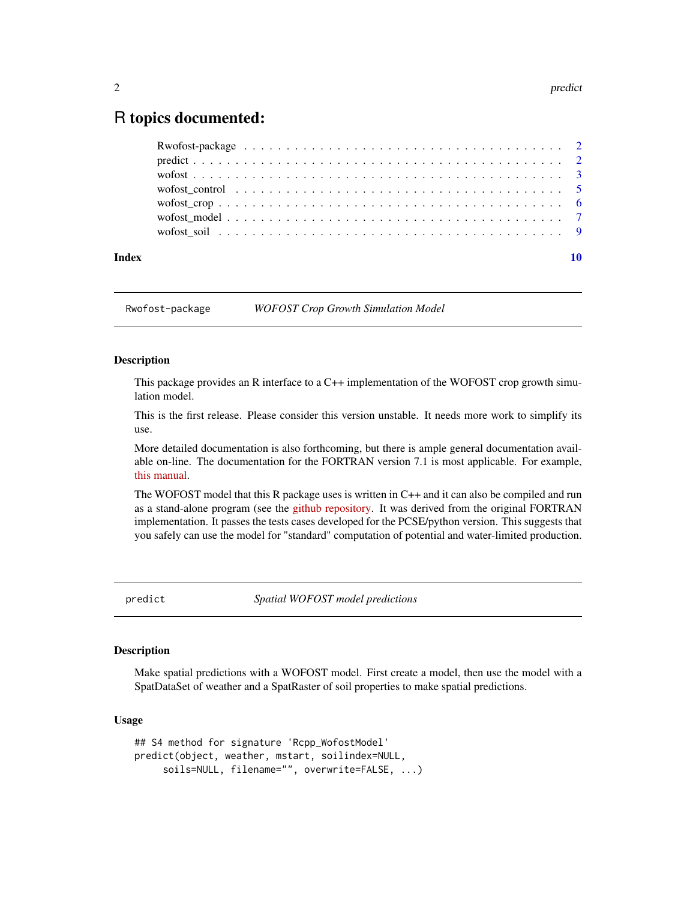### <span id="page-1-0"></span>R topics documented:

| Rwofost-package $\ldots \ldots \ldots \ldots \ldots \ldots \ldots \ldots \ldots \ldots \ldots \ldots \ldots$ |  |  |  |  |  |  |  |  |  |  |  |  |    |
|--------------------------------------------------------------------------------------------------------------|--|--|--|--|--|--|--|--|--|--|--|--|----|
|                                                                                                              |  |  |  |  |  |  |  |  |  |  |  |  |    |
|                                                                                                              |  |  |  |  |  |  |  |  |  |  |  |  |    |
|                                                                                                              |  |  |  |  |  |  |  |  |  |  |  |  |    |
|                                                                                                              |  |  |  |  |  |  |  |  |  |  |  |  |    |
|                                                                                                              |  |  |  |  |  |  |  |  |  |  |  |  |    |
|                                                                                                              |  |  |  |  |  |  |  |  |  |  |  |  |    |
|                                                                                                              |  |  |  |  |  |  |  |  |  |  |  |  |    |
|                                                                                                              |  |  |  |  |  |  |  |  |  |  |  |  | 10 |

Rwofost-package *WOFOST Crop Growth Simulation Model*

#### Description

This package provides an R interface to a C++ implementation of the WOFOST crop growth simulation model.

This is the first release. Please consider this version unstable. It needs more work to simplify its use.

More detailed documentation is also forthcoming, but there is ample general documentation available on-line. The documentation for the FORTRAN version 7.1 is most applicable. For example, [this manual.](https://www.wur.nl/en/show/WOFOST-7.1-User-Manual.htm)

The WOFOST model that this R package uses is written in C++ and it can also be compiled and run as a stand-alone program (see the [github repository.](https://github.com/cropmodels/Rwofost) It was derived from the original FORTRAN implementation. It passes the tests cases developed for the PCSE/python version. This suggests that you safely can use the model for "standard" computation of potential and water-limited production.

predict *Spatial WOFOST model predictions*

#### Description

Make spatial predictions with a WOFOST model. First create a model, then use the model with a SpatDataSet of weather and a SpatRaster of soil properties to make spatial predictions.

#### Usage

```
## S4 method for signature 'Rcpp_WofostModel'
predict(object, weather, mstart, soilindex=NULL,
     soils=NULL, filename="", overwrite=FALSE, ...)
```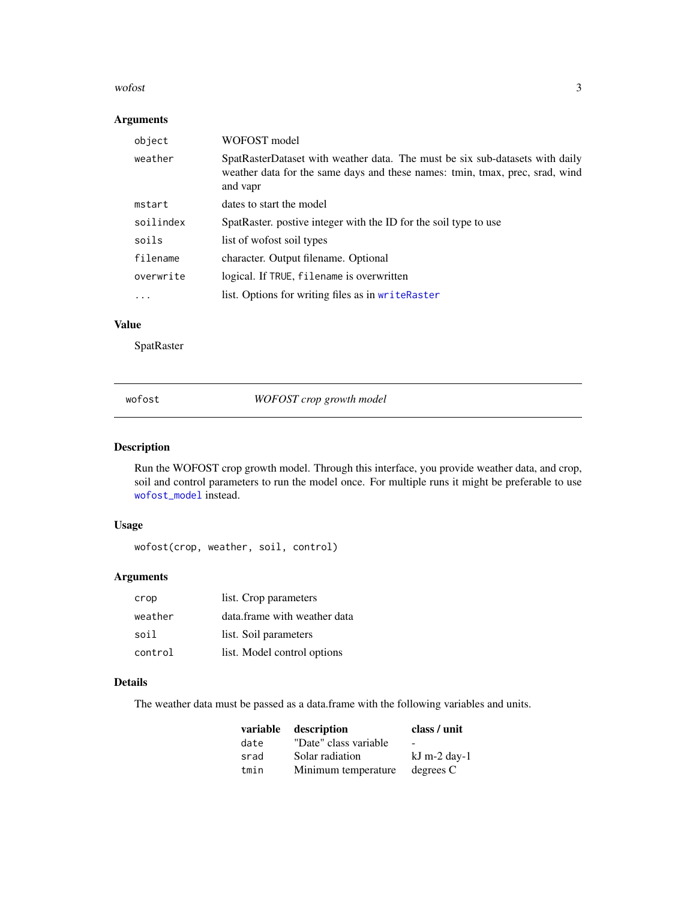#### <span id="page-2-0"></span> $w$ ofost $3$

#### Arguments

| object    | WOFOST model                                                                                                                                                             |  |  |  |  |
|-----------|--------------------------------------------------------------------------------------------------------------------------------------------------------------------------|--|--|--|--|
| weather   | SpatRasterDataset with weather data. The must be six sub-datasets with daily<br>weather data for the same days and these names: tmin, tmax, prec, srad, wind<br>and vapr |  |  |  |  |
| mstart    | dates to start the model                                                                                                                                                 |  |  |  |  |
| soilindex | SpatRaster, postive integer with the ID for the soil type to use                                                                                                         |  |  |  |  |
| soils     | list of worfost soil types                                                                                                                                               |  |  |  |  |
| filename  | character. Output filename. Optional                                                                                                                                     |  |  |  |  |
| overwrite | logical. If TRUE, filename is overwritten                                                                                                                                |  |  |  |  |
| $\ddotsc$ | list. Options for writing files as in writeRaster                                                                                                                        |  |  |  |  |
|           |                                                                                                                                                                          |  |  |  |  |

#### Value

**SpatRaster** 

<span id="page-2-1"></span>wofost *WOFOST crop growth model*

#### Description

Run the WOFOST crop growth model. Through this interface, you provide weather data, and crop, soil and control parameters to run the model once. For multiple runs it might be preferable to use [wofost\\_model](#page-6-1) instead.

#### Usage

wofost(crop, weather, soil, control)

#### Arguments

| crop    | list. Crop parameters        |
|---------|------------------------------|
| weather | data.frame with weather data |
| soil    | list. Soil parameters        |
| control | list. Model control options  |

#### Details

The weather data must be passed as a data.frame with the following variables and units.

| variable | description           | class / unit   |
|----------|-----------------------|----------------|
| date     | "Date" class variable | $\sim$         |
| srad     | Solar radiation       | $kJ$ m-2 day-1 |
| tmin     | Minimum temperature   | degrees C      |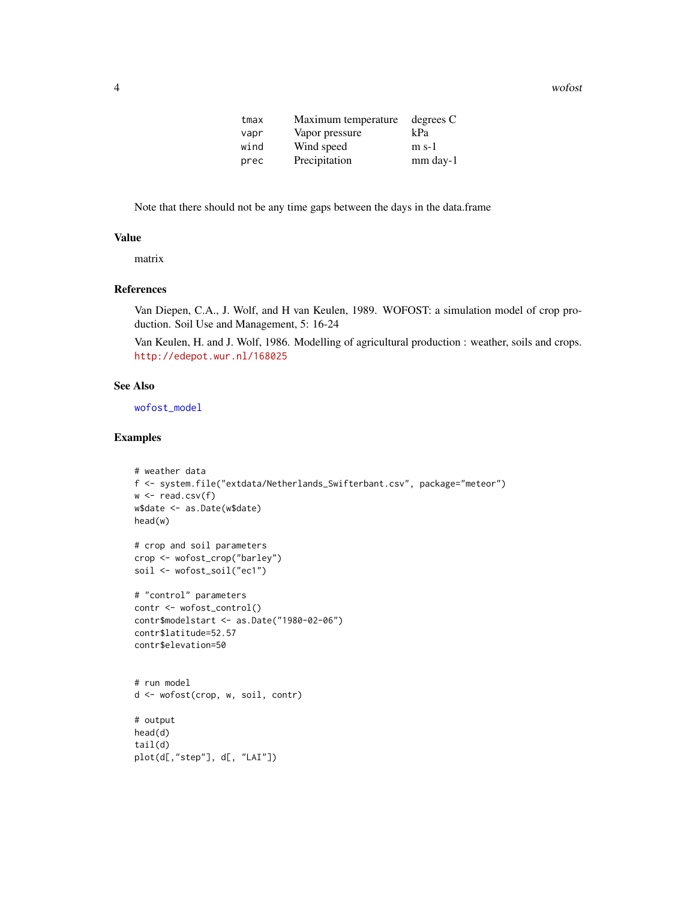<span id="page-3-0"></span>4 wofost

| tmax | Maximum temperature | degrees C  |
|------|---------------------|------------|
| vapr | Vapor pressure      | kPa        |
| wind | Wind speed          | $m s-1$    |
| prec | Precipitation       | $mm$ day-1 |

Note that there should not be any time gaps between the days in the data.frame

#### Value

matrix

#### References

Van Diepen, C.A., J. Wolf, and H van Keulen, 1989. WOFOST: a simulation model of crop production. Soil Use and Management, 5: 16-24

Van Keulen, H. and J. Wolf, 1986. Modelling of agricultural production : weather, soils and crops. <http://edepot.wur.nl/168025>

#### See Also

[wofost\\_model](#page-6-1)

```
# weather data
f <- system.file("extdata/Netherlands_Swifterbant.csv", package="meteor")
w \leftarrow \text{read.csv}(f)w$date <- as.Date(w$date)
head(w)
# crop and soil parameters
crop <- wofost_crop("barley")
soil <- wofost_soil("ec1")
# "control" parameters
contr <- wofost_control()
contr$modelstart <- as.Date("1980-02-06")
contr$latitude=52.57
contr$elevation=50
# run model
d <- wofost(crop, w, soil, contr)
# output
head(d)
tail(d)
plot(d[,"step"], d[, "LAI"])
```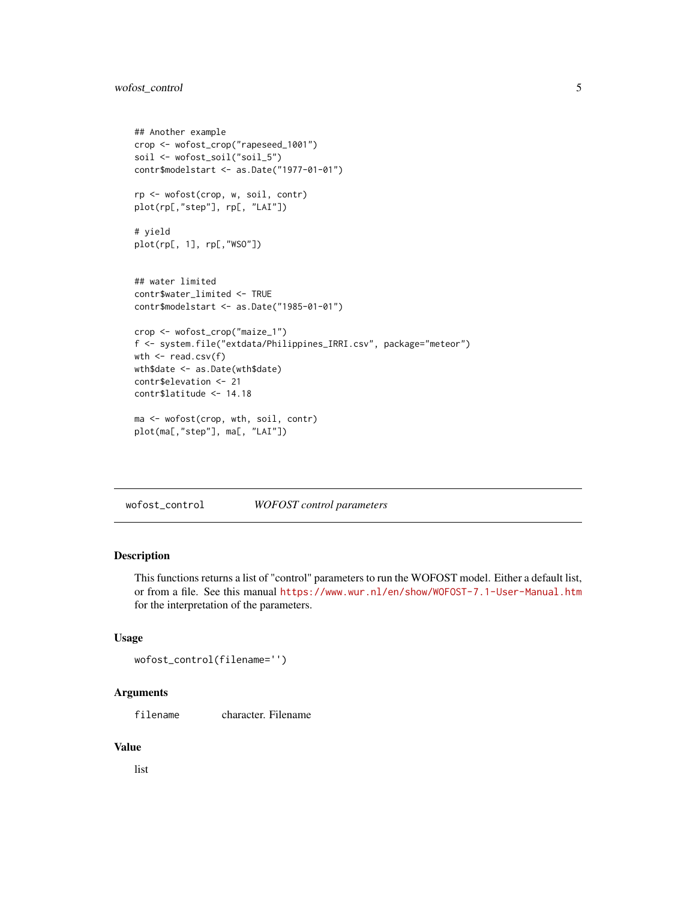#### <span id="page-4-0"></span>wofost\_control 5

```
## Another example
crop <- wofost_crop("rapeseed_1001")
soil <- wofost_soil("soil_5")
contr$modelstart <- as.Date("1977-01-01")
rp <- wofost(crop, w, soil, contr)
plot(rp[,"step"], rp[, "LAI"])
# yield
plot(rp[, 1], rp[,"WSO"])
## water limited
contr$water_limited <- TRUE
contr$modelstart <- as.Date("1985-01-01")
crop <- wofost_crop("maize_1")
f <- system.file("extdata/Philippines_IRRI.csv", package="meteor")
wth <- read.csv(f)
wth$date <- as.Date(wth$date)
contr$elevation <- 21
contr$latitude <- 14.18
ma <- wofost(crop, wth, soil, contr)
plot(ma[,"step"], ma[, "LAI"])
```
wofost\_control *WOFOST control parameters*

#### Description

This functions returns a list of "control" parameters to run the WOFOST model. Either a default list, or from a file. See this manual <https://www.wur.nl/en/show/WOFOST-7.1-User-Manual.htm> for the interpretation of the parameters.

#### Usage

```
wofost_control(filename='')
```
#### Arguments

filename character. Filename

#### Value

list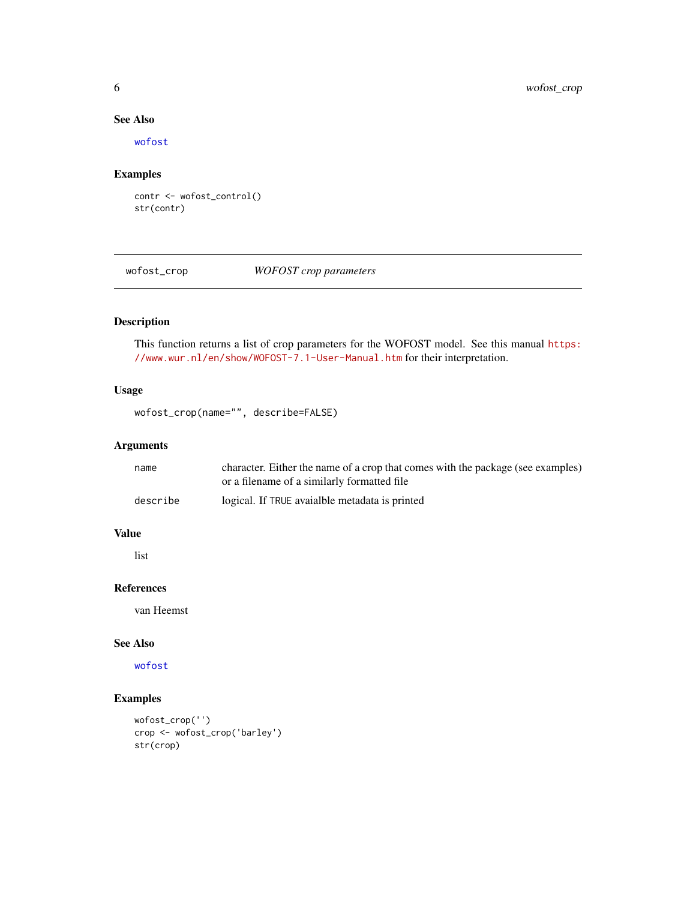#### See Also

[wofost](#page-2-1)

#### Examples

```
contr <- wofost_control()
str(contr)
```
wofost\_crop *WOFOST crop parameters*

#### Description

This function returns a list of crop parameters for the WOFOST model. See this manual [https:](https://www.wur.nl/en/show/WOFOST-7.1-User-Manual.htm) [//www.wur.nl/en/show/WOFOST-7.1-User-Manual.htm](https://www.wur.nl/en/show/WOFOST-7.1-User-Manual.htm) for their interpretation.

#### Usage

```
wofost_crop(name="", describe=FALSE)
```
#### Arguments

| name     | character. Either the name of a crop that comes with the package (see examples) |
|----------|---------------------------------------------------------------------------------|
|          | or a filename of a similarly formatted file                                     |
| describe | logical. If TRUE avaialble metadata is printed                                  |

#### Value

list

#### References

van Heemst

#### See Also

[wofost](#page-2-1)

```
wofost_crop('')
crop <- wofost_crop('barley')
str(crop)
```
<span id="page-5-0"></span>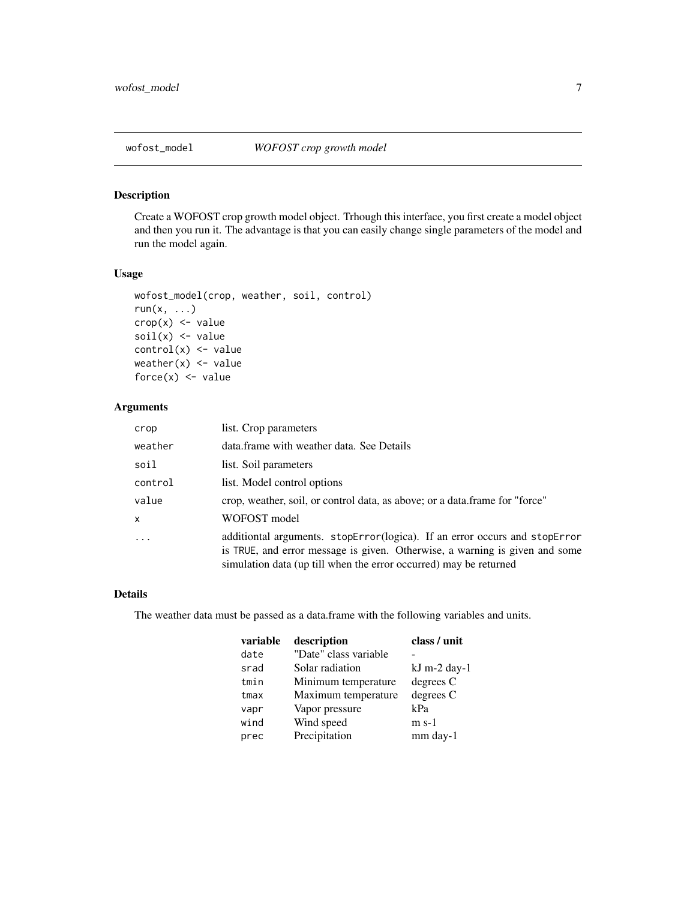<span id="page-6-1"></span><span id="page-6-0"></span>

#### Description

Create a WOFOST crop growth model object. Trhough this interface, you first create a model object and then you run it. The advantage is that you can easily change single parameters of the model and run the model again.

#### Usage

```
wofost_model(crop, weather, soil, control)
run(x, \ldots)crop(x) <- value
soil(x) <- value
control(x) \leq valueweather(x) <- value
force(x) <- value
```
#### Arguments

| crop         | list. Crop parameters                                                                                                                                                                                                          |
|--------------|--------------------------------------------------------------------------------------------------------------------------------------------------------------------------------------------------------------------------------|
| weather      | data frame with weather data. See Details                                                                                                                                                                                      |
| soil         | list. Soil parameters                                                                                                                                                                                                          |
| control      | list. Model control options                                                                                                                                                                                                    |
| value        | crop, weather, soil, or control data, as above; or a data.frame for "force"                                                                                                                                                    |
| $\mathsf{x}$ | WOFOST model                                                                                                                                                                                                                   |
| $\cdot$      | additiontal arguments. stopError(logica). If an error occurs and stopError<br>is TRUE, and error message is given. Otherwise, a warning is given and some<br>simulation data (up till when the error occurred) may be returned |

#### Details

The weather data must be passed as a data.frame with the following variables and units.

| variable | description           | class / unit   |
|----------|-----------------------|----------------|
| date     | "Date" class variable |                |
| srad     | Solar radiation       | $kJ$ m-2 day-1 |
| tmin     | Minimum temperature   | degrees C      |
| tmax     | Maximum temperature   | degrees C      |
| vapr     | Vapor pressure        | kPa            |
| wind     | Wind speed            | $m$ s-1        |
| prec     | Precipitation         | mm day-1       |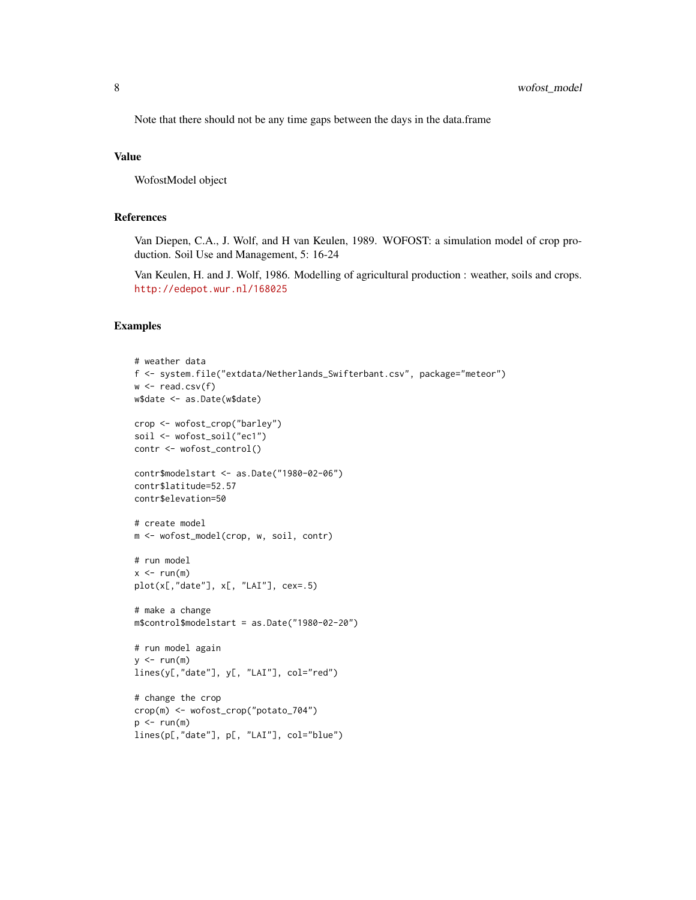Note that there should not be any time gaps between the days in the data.frame

#### Value

WofostModel object

#### References

Van Diepen, C.A., J. Wolf, and H van Keulen, 1989. WOFOST: a simulation model of crop production. Soil Use and Management, 5: 16-24

Van Keulen, H. and J. Wolf, 1986. Modelling of agricultural production : weather, soils and crops. <http://edepot.wur.nl/168025>

```
# weather data
f <- system.file("extdata/Netherlands_Swifterbant.csv", package="meteor")
w \leftarrow \text{read.csv}(f)w$date <- as.Date(w$date)
crop <- wofost_crop("barley")
soil <- wofost_soil("ec1")
contr <- wofost_control()
contr$modelstart <- as.Date("1980-02-06")
contr$latitude=52.57
contr$elevation=50
# create model
m <- wofost_model(crop, w, soil, contr)
# run model
x < -run(m)plot(x[,"date"], x[, "LAI"], cex=.5)
# make a change
m$control$modelstart = as.Date("1980-02-20")
# run model again
y \le -run(m)lines(y[,"date"], y[, "LAI"], col="red")
# change the crop
crop(m) <- wofost_crop("potato_704")
p \leftarrow run(m)lines(p[,"date"], p[, "LAI"], col="blue")
```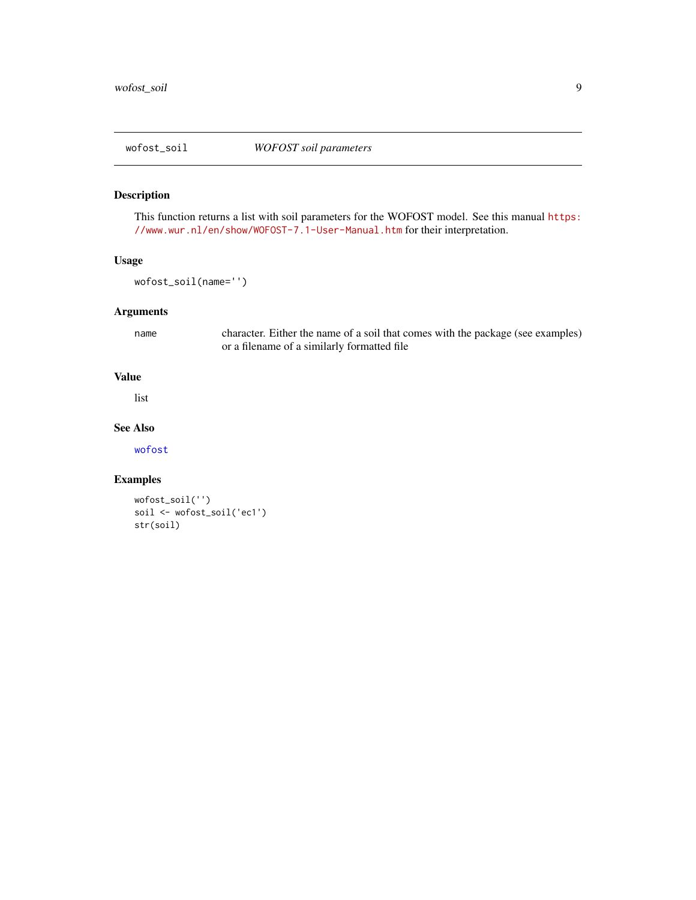<span id="page-8-0"></span>

#### Description

This function returns a list with soil parameters for the WOFOST model. See this manual [https:](https://www.wur.nl/en/show/WOFOST-7.1-User-Manual.htm) [//www.wur.nl/en/show/WOFOST-7.1-User-Manual.htm](https://www.wur.nl/en/show/WOFOST-7.1-User-Manual.htm) for their interpretation.

#### Usage

wofost\_soil(name='')

#### Arguments

name character. Either the name of a soil that comes with the package (see examples) or a filename of a similarly formatted file

#### Value

list

#### See Also

[wofost](#page-2-1)

```
wofost_soil('')
soil <- wofost_soil('ec1')
str(soil)
```